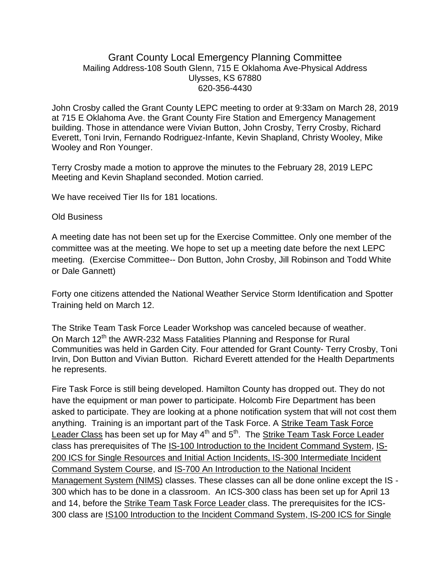## Grant County Local Emergency Planning Committee Mailing Address-108 South Glenn, 715 E Oklahoma Ave-Physical Address Ulysses, KS 67880 620-356-4430

John Crosby called the Grant County LEPC meeting to order at 9:33am on March 28, 2019 at 715 E Oklahoma Ave. the Grant County Fire Station and Emergency Management building. Those in attendance were Vivian Button, John Crosby, Terry Crosby, Richard Everett, Toni Irvin, Fernando Rodriguez-Infante, Kevin Shapland, Christy Wooley, Mike Wooley and Ron Younger.

Terry Crosby made a motion to approve the minutes to the February 28, 2019 LEPC Meeting and Kevin Shapland seconded. Motion carried.

We have received Tier IIs for 181 locations.

## Old Business

A meeting date has not been set up for the Exercise Committee. Only one member of the committee was at the meeting. We hope to set up a meeting date before the next LEPC meeting. (Exercise Committee-- Don Button, John Crosby, Jill Robinson and Todd White or Dale Gannett)

Forty one citizens attended the National Weather Service Storm Identification and Spotter Training held on March 12.

The Strike Team Task Force Leader Workshop was canceled because of weather. On March 12<sup>th</sup> the AWR-232 Mass Fatalities Planning and Response for Rural Communities was held in Garden City. Four attended for Grant County- Terry Crosby, Toni Irvin, Don Button and Vivian Button. Richard Everett attended for the Health Departments he represents.

Fire Task Force is still being developed. Hamilton County has dropped out. They do not have the equipment or man power to participate. Holcomb Fire Department has been asked to participate. They are looking at a phone notification system that will not cost them anything. Training is an important part of the Task Force. A Strike Team Task Force Leader Class has been set up for May 4<sup>th</sup> and 5<sup>th</sup>. The <u>Strike Team Task Force Leader</u> class has prerequisites of The IS-100 Introduction to the Incident Command System, IS-200 ICS for Single Resources and Initial Action Incidents, IS-300 Intermediate Incident Command System Course, and IS-700 An Introduction to the National Incident Management System (NIMS) classes. These classes can all be done online except the IS - 300 which has to be done in a classroom. An ICS-300 class has been set up for April 13 and 14, before the Strike Team Task Force Leader class. The prerequisites for the ICS-300 class are IS100 Introduction to the Incident Command System, IS-200 ICS for Single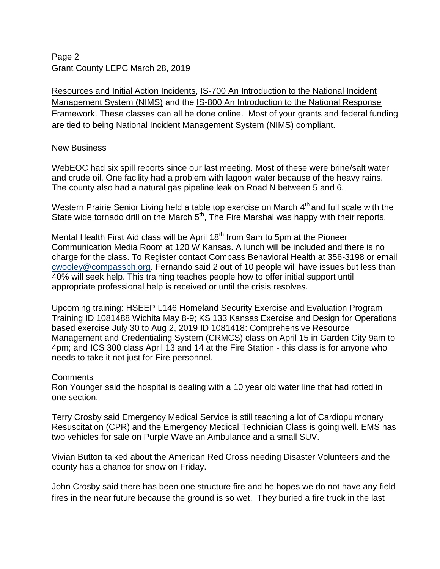Page 2 Grant County LEPC March 28, 2019

Resources and Initial Action Incidents, IS-700 An Introduction to the National Incident Management System (NIMS) and the IS-800 An Introduction to the National Response Framework. These classes can all be done online. Most of your grants and federal funding are tied to being National Incident Management System (NIMS) compliant.

## New Business

WebEOC had six spill reports since our last meeting. Most of these were brine/salt water and crude oil. One facility had a problem with lagoon water because of the heavy rains. The county also had a natural gas pipeline leak on Road N between 5 and 6.

Western Prairie Senior Living held a table top exercise on March  $4<sup>th</sup>$  and full scale with the State wide tornado drill on the March  $5<sup>th</sup>$ , The Fire Marshal was happy with their reports.

Mental Health First Aid class will be April 18<sup>th</sup> from 9am to 5pm at the Pioneer Communication Media Room at 120 W Kansas. A lunch will be included and there is no charge for the class. To Register contact Compass Behavioral Health at 356-3198 or email [cwooley@compassbh.org.](mailto:cwooley@compassbh.org) Fernando said 2 out of 10 people will have issues but less than 40% will seek help. This training teaches people how to offer initial support until appropriate professional help is received or until the crisis resolves.

Upcoming training: HSEEP L146 Homeland Security Exercise and Evaluation Program Training ID 1081488 Wichita May 8-9; KS 133 Kansas Exercise and Design for Operations based exercise July 30 to Aug 2, 2019 ID 1081418: Comprehensive Resource Management and Credentialing System (CRMCS) class on April 15 in Garden City 9am to 4pm; and ICS 300 class April 13 and 14 at the Fire Station - this class is for anyone who needs to take it not just for Fire personnel.

## Comments

Ron Younger said the hospital is dealing with a 10 year old water line that had rotted in one section.

Terry Crosby said Emergency Medical Service is still teaching a lot of Cardiopulmonary Resuscitation (CPR) and the Emergency Medical Technician Class is going well. EMS has two vehicles for sale on Purple Wave an Ambulance and a small SUV.

Vivian Button talked about the American Red Cross needing Disaster Volunteers and the county has a chance for snow on Friday.

John Crosby said there has been one structure fire and he hopes we do not have any field fires in the near future because the ground is so wet. They buried a fire truck in the last